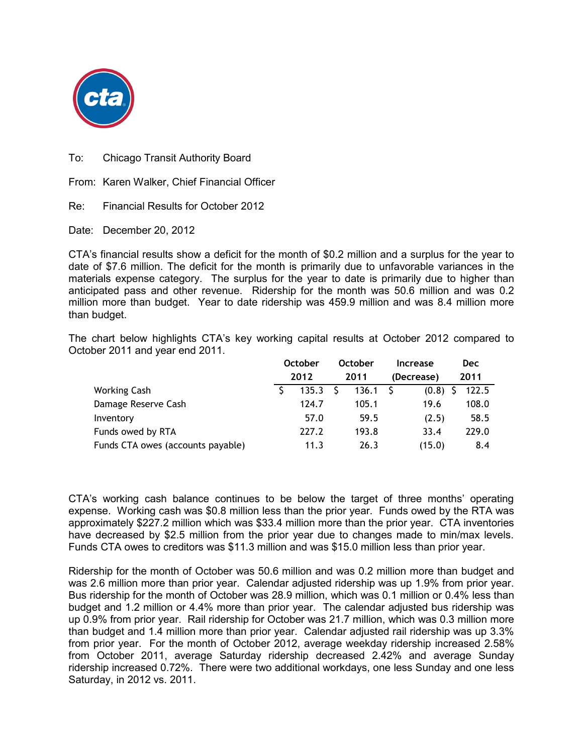

To: Chicago Transit Authority Board

From: Karen Walker, Chief Financial Officer

Re: Financial Results for October 2012

Date: December 20, 2012

CTA's financial results show a deficit for the month of \$0.2 million and a surplus for the year to date of \$7.6 million. The deficit for the month is primarily due to unfavorable variances in the materials expense category. The surplus for the year to date is primarily due to higher than anticipated pass and other revenue. Ridership for the month was 50.6 million and was 0.2 million more than budget. Year to date ridership was 459.9 million and was 8.4 million more than budget.

The chart below highlights CTA's key working capital results at October 2012 compared to October 2011 and year end 2011.

|                                   | <b>October</b><br>2012 |       | <b>October</b><br>2011 |                  | <b>Increase</b> | <b>Dec</b><br>2011 |       |
|-----------------------------------|------------------------|-------|------------------------|------------------|-----------------|--------------------|-------|
|                                   |                        |       |                        |                  | (Decrease)      |                    |       |
| <b>Working Cash</b>               |                        | 135.3 |                        | $136.1 \quad$ \$ | (0.8)           |                    | 122.5 |
| Damage Reserve Cash               |                        | 124.7 |                        | 105.1            | 19.6            |                    | 108.0 |
| Inventory                         |                        | 57.0  |                        | 59.5             | (2.5)           |                    | 58.5  |
| Funds owed by RTA                 |                        | 227.2 |                        | 193.8            | 33.4            |                    | 229.0 |
| Funds CTA owes (accounts payable) |                        | 11.3  |                        | 26.3             | (15.0)          |                    | 8.4   |

CTA's working cash balance continues to be below the target of three months' operating expense. Working cash was \$0.8 million less than the prior year. Funds owed by the RTA was approximately \$227.2 million which was \$33.4 million more than the prior year. CTA inventories have decreased by \$2.5 million from the prior year due to changes made to min/max levels. Funds CTA owes to creditors was \$11.3 million and was \$15.0 million less than prior year.

Ridership for the month of October was 50.6 million and was 0.2 million more than budget and was 2.6 million more than prior year. Calendar adjusted ridership was up 1.9% from prior year. Bus ridership for the month of October was 28.9 million, which was 0.1 million or 0.4% less than budget and 1.2 million or 4.4% more than prior year. The calendar adjusted bus ridership was up 0.9% from prior year. Rail ridership for October was 21.7 million, which was 0.3 million more than budget and 1.4 million more than prior year. Calendar adjusted rail ridership was up 3.3% from prior year. For the month of October 2012, average weekday ridership increased 2.58% from October 2011, average Saturday ridership decreased 2.42% and average Sunday ridership increased 0.72%. There were two additional workdays, one less Sunday and one less Saturday, in 2012 vs. 2011.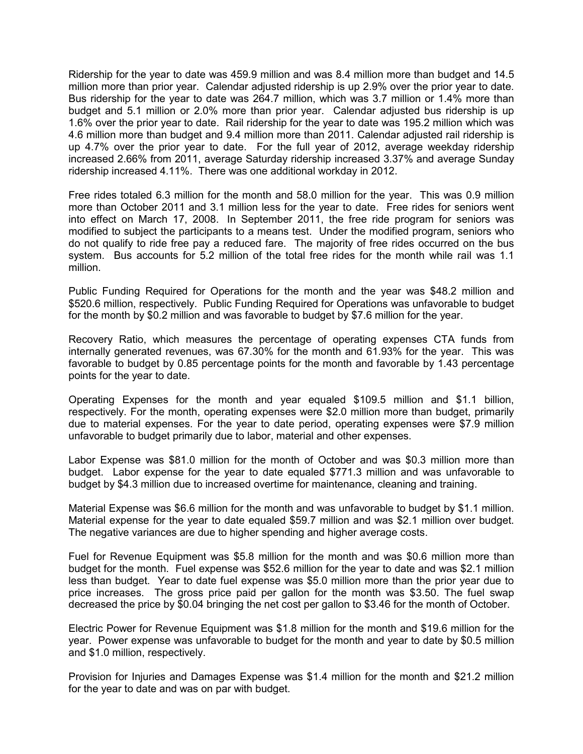Ridership for the year to date was 459.9 million and was 8.4 million more than budget and 14.5 million more than prior year. Calendar adjusted ridership is up 2.9% over the prior year to date. Bus ridership for the year to date was 264.7 million, which was 3.7 million or 1.4% more than budget and 5.1 million or 2.0% more than prior year. Calendar adjusted bus ridership is up 1.6% over the prior year to date. Rail ridership for the year to date was 195.2 million which was 4.6 million more than budget and 9.4 million more than 2011. Calendar adjusted rail ridership is up 4.7% over the prior year to date. For the full year of 2012, average weekday ridership increased 2.66% from 2011, average Saturday ridership increased 3.37% and average Sunday ridership increased 4.11%. There was one additional workday in 2012.

Free rides totaled 6.3 million for the month and 58.0 million for the year. This was 0.9 million more than October 2011 and 3.1 million less for the year to date. Free rides for seniors went into effect on March 17, 2008. In September 2011, the free ride program for seniors was modified to subject the participants to a means test. Under the modified program, seniors who do not qualify to ride free pay a reduced fare. The majority of free rides occurred on the bus system. Bus accounts for 5.2 million of the total free rides for the month while rail was 1.1 million.

Public Funding Required for Operations for the month and the year was \$48.2 million and \$520.6 million, respectively. Public Funding Required for Operations was unfavorable to budget for the month by \$0.2 million and was favorable to budget by \$7.6 million for the year.

Recovery Ratio, which measures the percentage of operating expenses CTA funds from internally generated revenues, was 67.30% for the month and 61.93% for the year. This was favorable to budget by 0.85 percentage points for the month and favorable by 1.43 percentage points for the year to date.

Operating Expenses for the month and year equaled \$109.5 million and \$1.1 billion, respectively. For the month, operating expenses were \$2.0 million more than budget, primarily due to material expenses. For the year to date period, operating expenses were \$7.9 million unfavorable to budget primarily due to labor, material and other expenses.

Labor Expense was \$81.0 million for the month of October and was \$0.3 million more than budget. Labor expense for the year to date equaled \$771.3 million and was unfavorable to budget by \$4.3 million due to increased overtime for maintenance, cleaning and training.

Material Expense was \$6.6 million for the month and was unfavorable to budget by \$1.1 million. Material expense for the year to date equaled \$59.7 million and was \$2.1 million over budget. The negative variances are due to higher spending and higher average costs.

Fuel for Revenue Equipment was \$5.8 million for the month and was \$0.6 million more than budget for the month. Fuel expense was \$52.6 million for the year to date and was \$2.1 million less than budget. Year to date fuel expense was \$5.0 million more than the prior year due to price increases. The gross price paid per gallon for the month was \$3.50. The fuel swap decreased the price by \$0.04 bringing the net cost per gallon to \$3.46 for the month of October.

Electric Power for Revenue Equipment was \$1.8 million for the month and \$19.6 million for the year. Power expense was unfavorable to budget for the month and year to date by \$0.5 million and \$1.0 million, respectively.

Provision for Injuries and Damages Expense was \$1.4 million for the month and \$21.2 million for the year to date and was on par with budget.